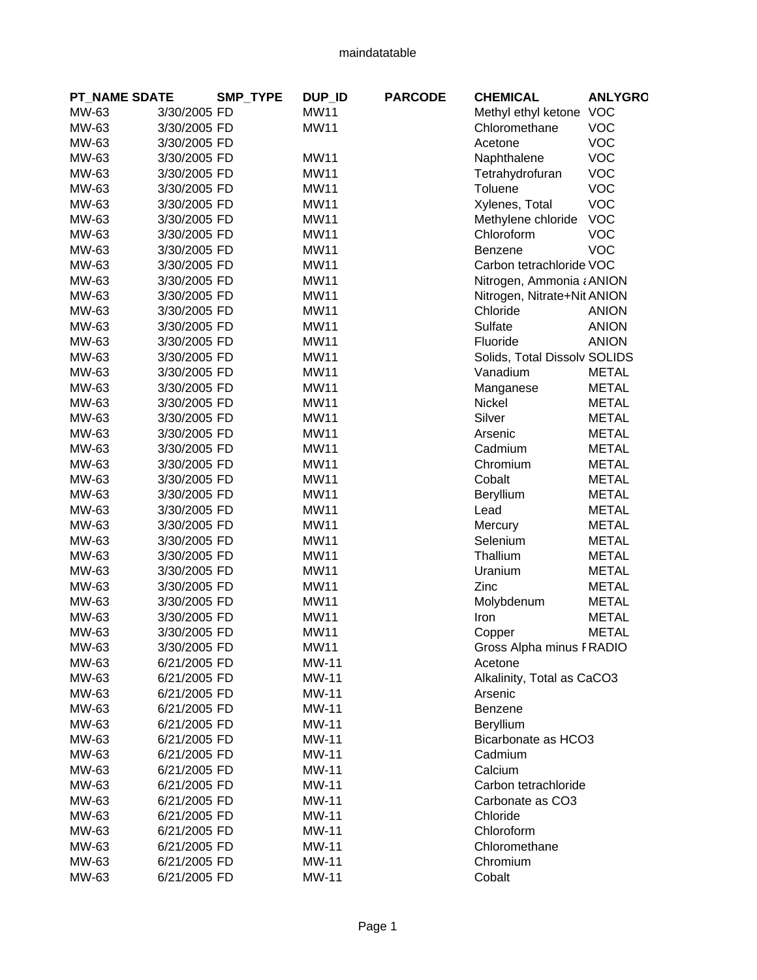| <b>PT_NAME SDATE</b> |              | <b>SMP TYPE</b> | DUP_ID       | <b>PARCODE</b> | <b>CHEMICAL</b>              | <b>ANLYGRO</b> |
|----------------------|--------------|-----------------|--------------|----------------|------------------------------|----------------|
| MW-63                | 3/30/2005 FD |                 | <b>MW11</b>  |                | Methyl ethyl ketone VOC      |                |
| MW-63                | 3/30/2005 FD |                 | <b>MW11</b>  |                | Chloromethane                | <b>VOC</b>     |
| MW-63                | 3/30/2005 FD |                 |              |                | Acetone                      | <b>VOC</b>     |
| MW-63                | 3/30/2005 FD |                 | <b>MW11</b>  |                | Naphthalene                  | <b>VOC</b>     |
| MW-63                | 3/30/2005 FD |                 | <b>MW11</b>  |                | Tetrahydrofuran              | <b>VOC</b>     |
| MW-63                | 3/30/2005 FD |                 | <b>MW11</b>  |                | Toluene                      | <b>VOC</b>     |
| MW-63                | 3/30/2005 FD |                 | <b>MW11</b>  |                | Xylenes, Total               | <b>VOC</b>     |
| MW-63                | 3/30/2005 FD |                 | <b>MW11</b>  |                | Methylene chloride           | <b>VOC</b>     |
| MW-63                | 3/30/2005 FD |                 | <b>MW11</b>  |                | Chloroform                   | <b>VOC</b>     |
| MW-63                | 3/30/2005 FD |                 | <b>MW11</b>  |                | Benzene                      | <b>VOC</b>     |
| MW-63                | 3/30/2005 FD |                 | <b>MW11</b>  |                | Carbon tetrachloride VOC     |                |
| MW-63                | 3/30/2005 FD |                 | <b>MW11</b>  |                | Nitrogen, Ammonia ¿ ANION    |                |
| MW-63                | 3/30/2005 FD |                 | <b>MW11</b>  |                | Nitrogen, Nitrate+Nit ANION  |                |
| MW-63                | 3/30/2005 FD |                 | <b>MW11</b>  |                | Chloride                     | <b>ANION</b>   |
| MW-63                | 3/30/2005 FD |                 | <b>MW11</b>  |                | Sulfate                      | <b>ANION</b>   |
| MW-63                | 3/30/2005 FD |                 | <b>MW11</b>  |                | Fluoride                     | <b>ANION</b>   |
| MW-63                | 3/30/2005 FD |                 | <b>MW11</b>  |                | Solids, Total Dissolv SOLIDS |                |
| MW-63                | 3/30/2005 FD |                 | <b>MW11</b>  |                | Vanadium                     | <b>METAL</b>   |
| MW-63                | 3/30/2005 FD |                 | <b>MW11</b>  |                | Manganese                    | <b>METAL</b>   |
| MW-63                | 3/30/2005 FD |                 | <b>MW11</b>  |                | Nickel                       | <b>METAL</b>   |
| MW-63                | 3/30/2005 FD |                 | <b>MW11</b>  |                | Silver                       | <b>METAL</b>   |
| MW-63                | 3/30/2005 FD |                 | <b>MW11</b>  |                | Arsenic                      | <b>METAL</b>   |
| MW-63                | 3/30/2005 FD |                 | <b>MW11</b>  |                | Cadmium                      | <b>METAL</b>   |
| MW-63                | 3/30/2005 FD |                 | <b>MW11</b>  |                | Chromium                     | <b>METAL</b>   |
| MW-63                | 3/30/2005 FD |                 | <b>MW11</b>  |                | Cobalt                       | <b>METAL</b>   |
| MW-63                | 3/30/2005 FD |                 | <b>MW11</b>  |                | Beryllium                    | <b>METAL</b>   |
| MW-63                | 3/30/2005 FD |                 | <b>MW11</b>  |                | Lead                         | <b>METAL</b>   |
| MW-63                | 3/30/2005 FD |                 | <b>MW11</b>  |                | Mercury                      | <b>METAL</b>   |
| MW-63                | 3/30/2005 FD |                 | <b>MW11</b>  |                | Selenium                     | <b>METAL</b>   |
| MW-63                | 3/30/2005 FD |                 | <b>MW11</b>  |                | Thallium                     | <b>METAL</b>   |
| MW-63                | 3/30/2005 FD |                 | <b>MW11</b>  |                | Uranium                      | <b>METAL</b>   |
| MW-63                | 3/30/2005 FD |                 | <b>MW11</b>  |                | Zinc                         | <b>METAL</b>   |
| MW-63                | 3/30/2005 FD |                 | <b>MW11</b>  |                | Molybdenum                   | <b>METAL</b>   |
| MW-63                | 3/30/2005 FD |                 | <b>MW11</b>  |                | Iron                         | <b>METAL</b>   |
| MW-63                | 3/30/2005 FD |                 | <b>MW11</b>  |                | Copper                       | <b>METAL</b>   |
| MW-63                | 3/30/2005 FD |                 | <b>MW11</b>  |                | Gross Alpha minus FRADIO     |                |
| MW-63                | 6/21/2005 FD |                 | <b>MW-11</b> |                | Acetone                      |                |
| MW-63                | 6/21/2005 FD |                 | <b>MW-11</b> |                | Alkalinity, Total as CaCO3   |                |
| MW-63                | 6/21/2005 FD |                 | <b>MW-11</b> |                | Arsenic                      |                |
| MW-63                | 6/21/2005 FD |                 | <b>MW-11</b> |                | Benzene                      |                |
| MW-63                | 6/21/2005 FD |                 | <b>MW-11</b> |                | Beryllium                    |                |
| MW-63                | 6/21/2005 FD |                 | <b>MW-11</b> |                | Bicarbonate as HCO3          |                |
| MW-63                | 6/21/2005 FD |                 | <b>MW-11</b> |                | Cadmium                      |                |
| MW-63                | 6/21/2005 FD |                 | <b>MW-11</b> |                | Calcium                      |                |
| MW-63                | 6/21/2005 FD |                 | <b>MW-11</b> |                | Carbon tetrachloride         |                |
| MW-63                | 6/21/2005 FD |                 | <b>MW-11</b> |                | Carbonate as CO3             |                |
| MW-63                | 6/21/2005 FD |                 | <b>MW-11</b> |                | Chloride                     |                |
| MW-63                | 6/21/2005 FD |                 | <b>MW-11</b> |                | Chloroform                   |                |
| MW-63                | 6/21/2005 FD |                 | <b>MW-11</b> |                | Chloromethane                |                |
| MW-63                | 6/21/2005 FD |                 | <b>MW-11</b> |                | Chromium                     |                |
| MW-63                | 6/21/2005 FD |                 | <b>MW-11</b> |                | Cobalt                       |                |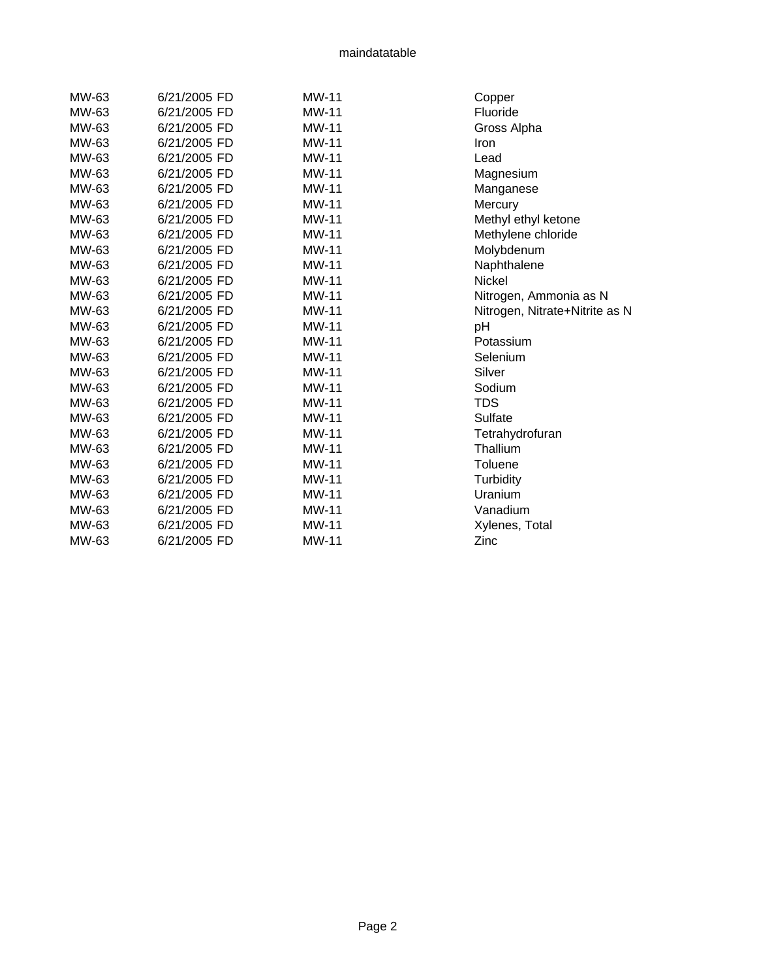| MW-63 | 6/21/2005 FD | <b>MW-11</b> | Copper                         |
|-------|--------------|--------------|--------------------------------|
| MW-63 | 6/21/2005 FD | <b>MW-11</b> | Fluoride                       |
| MW-63 | 6/21/2005 FD | MW-11        | Gross Alpha                    |
| MW-63 | 6/21/2005 FD | <b>MW-11</b> | Iron                           |
| MW-63 | 6/21/2005 FD | MW-11        | Lead                           |
| MW-63 | 6/21/2005 FD | MW-11        | Magnesium                      |
| MW-63 | 6/21/2005 FD | MW-11        | Manganese                      |
| MW-63 | 6/21/2005 FD | MW-11        | Mercury                        |
| MW-63 | 6/21/2005 FD | <b>MW-11</b> | Methyl ethyl ketone            |
| MW-63 | 6/21/2005 FD | MW-11        | Methylene chloride             |
| MW-63 | 6/21/2005 FD | <b>MW-11</b> | Molybdenum                     |
| MW-63 | 6/21/2005 FD | <b>MW-11</b> | Naphthalene                    |
| MW-63 | 6/21/2005 FD | MW-11        | Nickel                         |
| MW-63 | 6/21/2005 FD | <b>MW-11</b> | Nitrogen, Ammonia as N         |
| MW-63 | 6/21/2005 FD | MW-11        | Nitrogen, Nitrate+Nitrite as N |
| MW-63 | 6/21/2005 FD | MW-11        | pH                             |
| MW-63 | 6/21/2005 FD | <b>MW-11</b> | Potassium                      |
| MW-63 | 6/21/2005 FD | MW-11        | Selenium                       |
| MW-63 | 6/21/2005 FD | <b>MW-11</b> | Silver                         |
| MW-63 | 6/21/2005 FD | <b>MW-11</b> | Sodium                         |
| MW-63 | 6/21/2005 FD | MW-11        | <b>TDS</b>                     |
| MW-63 | 6/21/2005 FD | MW-11        | Sulfate                        |
| MW-63 | 6/21/2005 FD | MW-11        | Tetrahydrofuran                |
| MW-63 | 6/21/2005 FD | <b>MW-11</b> | Thallium                       |
| MW-63 | 6/21/2005 FD | MW-11        | Toluene                        |
| MW-63 | 6/21/2005 FD | MW-11        | Turbidity                      |
| MW-63 | 6/21/2005 FD | <b>MW-11</b> | Uranium                        |
| MW-63 | 6/21/2005 FD | MW-11        | Vanadium                       |
| MW-63 | 6/21/2005 FD | MW-11        | Xylenes, Total                 |
| MW-63 | 6/21/2005 FD | <b>MW-11</b> | Zinc                           |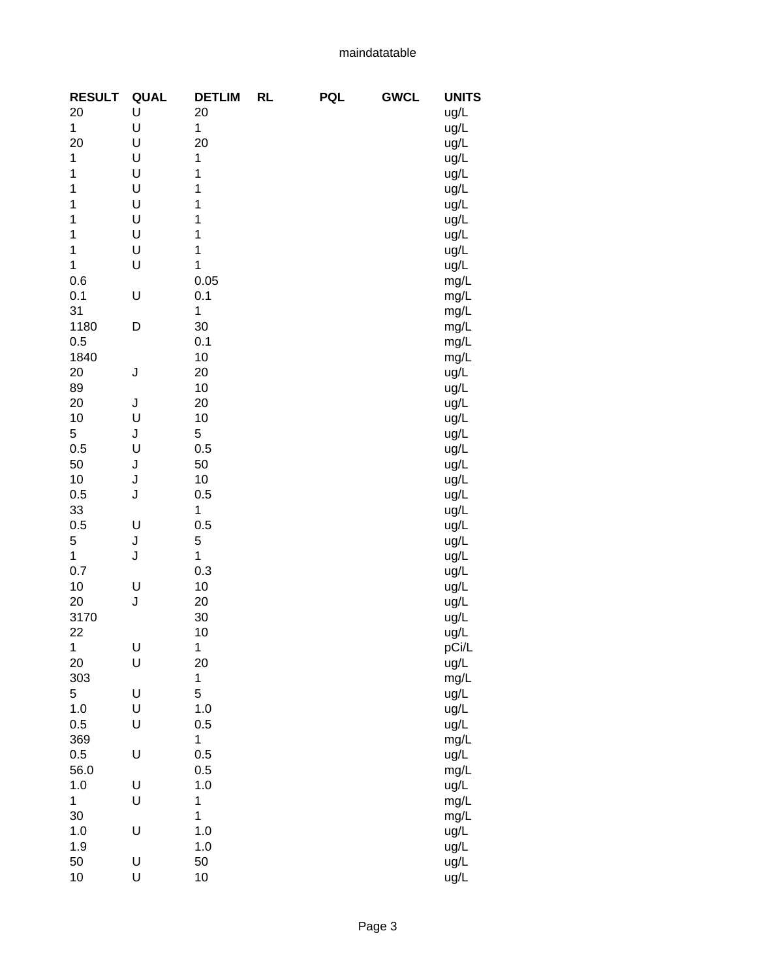| <b>RESULT</b> | <b>QUAL</b> | <b>DETLIM</b> | <b>RL</b> | <b>PQL</b> | <b>GWCL</b> | <b>UNITS</b> |
|---------------|-------------|---------------|-----------|------------|-------------|--------------|
| 20            | U           | 20            |           |            |             | ug/L         |
| $\mathbf{1}$  | U           | 1             |           |            |             | ug/L         |
| 20            | U           | 20            |           |            |             | ug/L         |
| 1             | U           | 1             |           |            |             | ug/L         |
| 1             | U           | 1             |           |            |             | ug/L         |
| 1             | U           | 1             |           |            |             | ug/L         |
| 1             | U           | 1             |           |            |             | ug/L         |
| 1             | U           | 1             |           |            |             | ug/L         |
| 1             | U           | 1             |           |            |             |              |
| $\mathbf 1$   |             | 1             |           |            |             | ug/L         |
|               | U           |               |           |            |             | ug/L         |
| $\mathbf 1$   | U           | 1             |           |            |             | ug/L         |
| 0.6           |             | 0.05          |           |            |             | mg/L         |
| 0.1           | U           | 0.1           |           |            |             | mg/L         |
| 31            |             | 1             |           |            |             | mg/L         |
| 1180          | D           | 30            |           |            |             | mg/L         |
| 0.5           |             | 0.1           |           |            |             | mg/L         |
| 1840          |             | 10            |           |            |             | mg/L         |
| 20            | J           | 20            |           |            |             | ug/L         |
| 89            |             | 10            |           |            |             | ug/L         |
| 20            | J           | 20            |           |            |             | ug/L         |
| 10            | U           | 10            |           |            |             | ug/L         |
| 5             | J           | $\mathbf 5$   |           |            |             | ug/L         |
| 0.5           | U           | 0.5           |           |            |             | ug/L         |
| 50            | J           | 50            |           |            |             | ug/L         |
| 10            | J           | 10            |           |            |             | ug/L         |
| 0.5           | J           | 0.5           |           |            |             |              |
| 33            |             | 1             |           |            |             | ug/L         |
|               |             |               |           |            |             | ug/L         |
| 0.5           | U           | 0.5           |           |            |             | ug/L         |
| 5             | J           | 5             |           |            |             | ug/L         |
| $\mathbf{1}$  | J           | 1             |           |            |             | ug/L         |
| 0.7           |             | 0.3           |           |            |             | ug/L         |
| 10            | U           | 10            |           |            |             | ug/L         |
| 20            | J           | 20            |           |            |             | ug/L         |
| 3170          |             | 30            |           |            |             | ug/L         |
| 22            |             | 10            |           |            |             | ug/L         |
| 1             | U           | $\mathbf{1}$  |           |            |             | pCi/L        |
| 20            | U           | 20            |           |            |             | ug/L         |
| 303           |             | 1             |           |            |             | mg/L         |
| 5             | U           | 5             |           |            |             | ug/L         |
| 1.0           | U           | 1.0           |           |            |             | ug/L         |
| 0.5           | U           | 0.5           |           |            |             | ug/L         |
| 369           |             | 1             |           |            |             | mg/L         |
| 0.5           | U           | 0.5           |           |            |             | ug/L         |
| 56.0          |             | 0.5           |           |            |             | mg/L         |
| 1.0           | U           | 1.0           |           |            |             |              |
| 1             | U           | 1             |           |            |             | ug/L         |
|               |             |               |           |            |             | mg/L         |
| 30            |             | $\mathbf 1$   |           |            |             | mg/L         |
| 1.0           | U           | 1.0           |           |            |             | ug/L         |
| 1.9           |             | 1.0           |           |            |             | ug/L         |
| 50            | U           | 50            |           |            |             | ug/L         |
| 10            | U           | 10            |           |            |             | ug/L         |